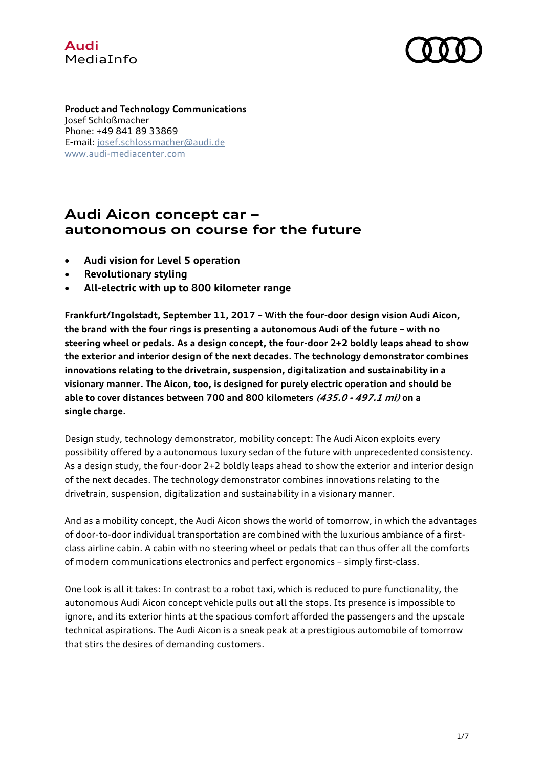# **Audi** MediaInfo



**Product and Technology Communications** Josef Schloßmacher Phone: +49 841 89 33869 E-mail: [josef.schlossmacher@audi.de](mailto:josef.schlossmacher@audi.de) [www.audi-mediacenter.com](http://www.audi-mediacenter.com/en)

# **Audi Aicon concept car – autonomous on course for the future**

- **Audi vision for Level 5 operation**
- **Revolutionary styling**
- **All-electric with up to 800 kilometer range**

**Frankfurt/Ingolstadt, September 11, 2017 – With the four-door design vision Audi Aicon, the brand with the four rings is presenting a autonomous Audi of the future – with no steering wheel or pedals. As a design concept, the four-door 2+2 boldly leaps ahead to show the exterior and interior design of the next decades. The technology demonstrator combines innovations relating to the drivetrain, suspension, digitalization and sustainability in a visionary manner. The Aicon, too, is designed for purely electric operation and should be able to cover distances between 700 and 800 kilometers (435.0 - 497.1 mi) on a single charge.**

Design study, technology demonstrator, mobility concept: The Audi Aicon exploits every possibility offered by a autonomous luxury sedan of the future with unprecedented consistency. As a design study, the four-door 2+2 boldly leaps ahead to show the exterior and interior design of the next decades. The technology demonstrator combines innovations relating to the drivetrain, suspension, digitalization and sustainability in a visionary manner.

And as a mobility concept, the Audi Aicon shows the world of tomorrow, in which the advantages of door-to-door individual transportation are combined with the luxurious ambiance of a firstclass airline cabin. A cabin with no steering wheel or pedals that can thus offer all the comforts of modern communications electronics and perfect ergonomics – simply first-class.

One look is all it takes: In contrast to a robot taxi, which is reduced to pure functionality, the autonomous Audi Aicon concept vehicle pulls out all the stops. Its presence is impossible to ignore, and its exterior hints at the spacious comfort afforded the passengers and the upscale technical aspirations. The Audi Aicon is a sneak peak at a prestigious automobile of tomorrow that stirs the desires of demanding customers.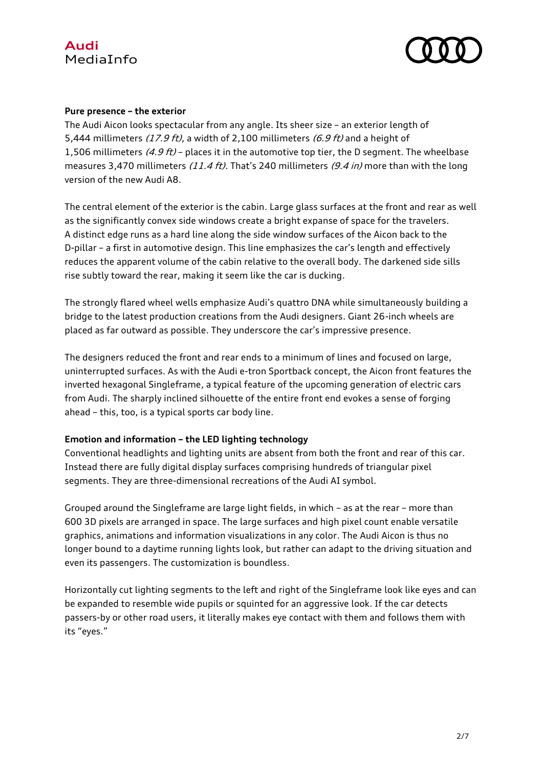



#### **Pure presence – the exterior**

The Audi Aicon looks spectacular from any angle. Its sheer size – an exterior length of 5.444 millimeters  $(17.9 \text{ ft})$ , a width of 2.100 millimeters  $(6.9 \text{ ft})$  and a height of 1,506 millimeters  $(4.9 \text{ ft})$  – places it in the automotive top tier, the D segment. The wheelbase measures 3.470 millimeters (11.4 ft). That's 240 millimeters (9.4 in) more than with the long version of the new Audi A8.

The central element of the exterior is the cabin. Large glass surfaces at the front and rear as well as the significantly convex side windows create a bright expanse of space for the travelers. A distinct edge runs as a hard line along the side window surfaces of the Aicon back to the D-pillar – a first in automotive design. This line emphasizes the car's length and effectively reduces the apparent volume of the cabin relative to the overall body. The darkened side sills rise subtly toward the rear, making it seem like the car is ducking.

The strongly flared wheel wells emphasize Audi's quattro DNA while simultaneously building a bridge to the latest production creations from the Audi designers. Giant 26-inch wheels are placed as far outward as possible. They underscore the car's impressive presence.

The designers reduced the front and rear ends to a minimum of lines and focused on large, uninterrupted surfaces. As with the Audi e-tron Sportback concept, the Aicon front features the inverted hexagonal Singleframe, a typical feature of the upcoming generation of electric cars from Audi. The sharply inclined silhouette of the entire front end evokes a sense of forging ahead – this, too, is a typical sports car body line.

## **Emotion and information – the LED lighting technology**

Conventional headlights and lighting units are absent from both the front and rear of this car. Instead there are fully digital display surfaces comprising hundreds of triangular pixel segments. They are three-dimensional recreations of the Audi AI symbol.

Grouped around the Singleframe are large light fields, in which – as at the rear – more than 600 3D pixels are arranged in space. The large surfaces and high pixel count enable versatile graphics, animations and information visualizations in any color. The Audi Aicon is thus no longer bound to a daytime running lights look, but rather can adapt to the driving situation and even its passengers. The customization is boundless.

Horizontally cut lighting segments to the left and right of the Singleframe look like eyes and can be expanded to resemble wide pupils or squinted for an aggressive look. If the car detects passers-by or other road users, it literally makes eye contact with them and follows them with its "eyes."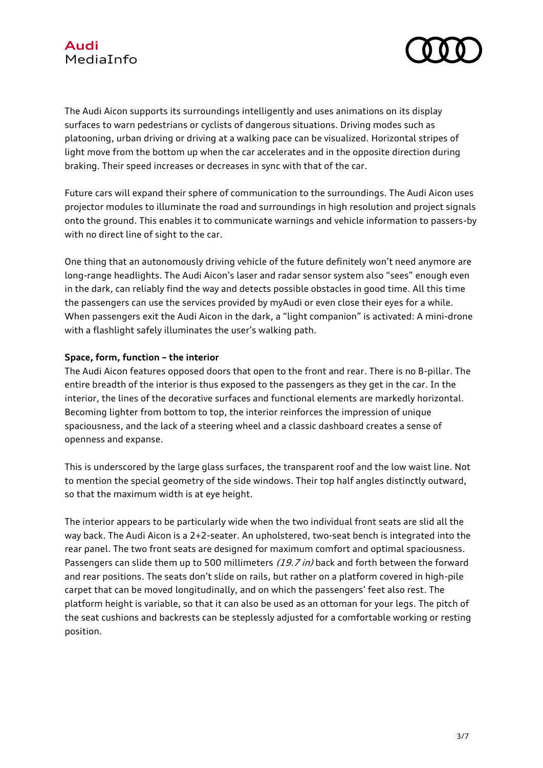



The Audi Aicon supports its surroundings intelligently and uses animations on its display surfaces to warn pedestrians or cyclists of dangerous situations. Driving modes such as platooning, urban driving or driving at a walking pace can be visualized. Horizontal stripes of light move from the bottom up when the car accelerates and in the opposite direction during braking. Their speed increases or decreases in sync with that of the car.

Future cars will expand their sphere of communication to the surroundings. The Audi Aicon uses projector modules to illuminate the road and surroundings in high resolution and project signals onto the ground. This enables it to communicate warnings and vehicle information to passers-by with no direct line of sight to the car.

One thing that an autonomously driving vehicle of the future definitely won't need anymore are long-range headlights. The Audi Aicon's laser and radar sensor system also "sees" enough even in the dark, can reliably find the way and detects possible obstacles in good time. All this time the passengers can use the services provided by myAudi or even close their eyes for a while. When passengers exit the Audi Aicon in the dark, a "light companion" is activated: A mini-drone with a flashlight safely illuminates the user's walking path.

#### **Space, form, function – the interior**

The Audi Aicon features opposed doors that open to the front and rear. There is no B-pillar. The entire breadth of the interior is thus exposed to the passengers as they get in the car. In the interior, the lines of the decorative surfaces and functional elements are markedly horizontal. Becoming lighter from bottom to top, the interior reinforces the impression of unique spaciousness, and the lack of a steering wheel and a classic dashboard creates a sense of openness and expanse.

This is underscored by the large glass surfaces, the transparent roof and the low waist line. Not to mention the special geometry of the side windows. Their top half angles distinctly outward, so that the maximum width is at eye height.

The interior appears to be particularly wide when the two individual front seats are slid all the way back. The Audi Aicon is a 2+2-seater. An upholstered, two-seat bench is integrated into the rear panel. The two front seats are designed for maximum comfort and optimal spaciousness. Passengers can slide them up to 500 millimeters (19.7 in) back and forth between the forward and rear positions. The seats don't slide on rails, but rather on a platform covered in high-pile carpet that can be moved longitudinally, and on which the passengers' feet also rest. The platform height is variable, so that it can also be used as an ottoman for your legs. The pitch of the seat cushions and backrests can be steplessly adjusted for a comfortable working or resting position.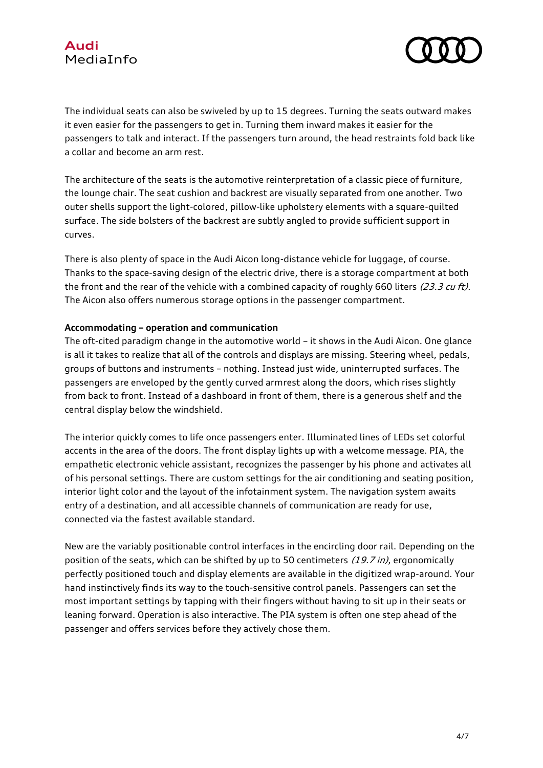

The individual seats can also be swiveled by up to 15 degrees. Turning the seats outward makes it even easier for the passengers to get in. Turning them inward makes it easier for the passengers to talk and interact. If the passengers turn around, the head restraints fold back like a collar and become an arm rest.

The architecture of the seats is the automotive reinterpretation of a classic piece of furniture, the lounge chair. The seat cushion and backrest are visually separated from one another. Two outer shells support the light-colored, pillow-like upholstery elements with a square-quilted surface. The side bolsters of the backrest are subtly angled to provide sufficient support in curves.

There is also plenty of space in the Audi Aicon long-distance vehicle for luggage, of course. Thanks to the space-saving design of the electric drive, there is a storage compartment at both the front and the rear of the vehicle with a combined capacity of roughly 660 liters (23.3 cu ft). The Aicon also offers numerous storage options in the passenger compartment.

## **Accommodating – operation and communication**

The oft-cited paradigm change in the automotive world – it shows in the Audi Aicon. One glance is all it takes to realize that all of the controls and displays are missing. Steering wheel, pedals, groups of buttons and instruments – nothing. Instead just wide, uninterrupted surfaces. The passengers are enveloped by the gently curved armrest along the doors, which rises slightly from back to front. Instead of a dashboard in front of them, there is a generous shelf and the central display below the windshield.

The interior quickly comes to life once passengers enter. Illuminated lines of LEDs set colorful accents in the area of the doors. The front display lights up with a welcome message. PIA, the empathetic electronic vehicle assistant, recognizes the passenger by his phone and activates all of his personal settings. There are custom settings for the air conditioning and seating position, interior light color and the layout of the infotainment system. The navigation system awaits entry of a destination, and all accessible channels of communication are ready for use, connected via the fastest available standard.

New are the variably positionable control interfaces in the encircling door rail. Depending on the position of the seats, which can be shifted by up to 50 centimeters (19.7 in), ergonomically perfectly positioned touch and display elements are available in the digitized wrap-around. Your hand instinctively finds its way to the touch-sensitive control panels. Passengers can set the most important settings by tapping with their fingers without having to sit up in their seats or leaning forward. Operation is also interactive. The PIA system is often one step ahead of the passenger and offers services before they actively chose them.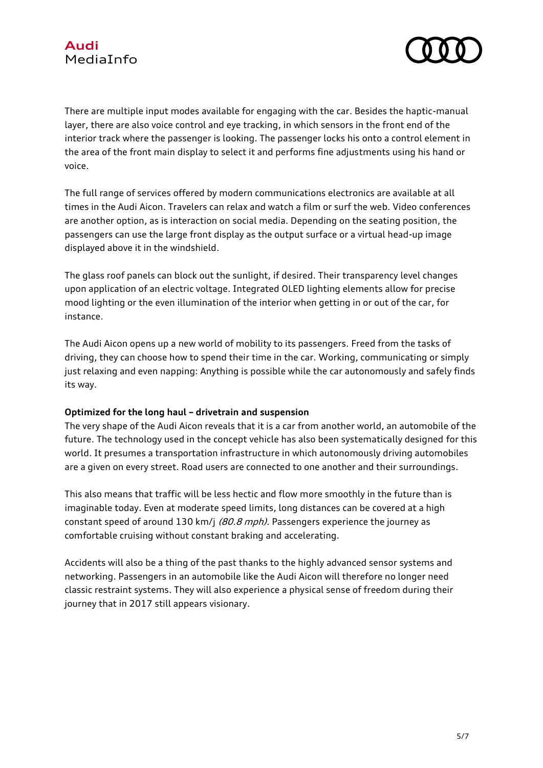

There are multiple input modes available for engaging with the car. Besides the haptic-manual layer, there are also voice control and eye tracking, in which sensors in the front end of the interior track where the passenger is looking. The passenger locks his onto a control element in the area of the front main display to select it and performs fine adjustments using his hand or voice.

The full range of services offered by modern communications electronics are available at all times in the Audi Aicon. Travelers can relax and watch a film or surf the web. Video conferences are another option, as is interaction on social media. Depending on the seating position, the passengers can use the large front display as the output surface or a virtual head-up image displayed above it in the windshield.

The glass roof panels can block out the sunlight, if desired. Their transparency level changes upon application of an electric voltage. Integrated OLED lighting elements allow for precise mood lighting or the even illumination of the interior when getting in or out of the car, for instance.

The Audi Aicon opens up a new world of mobility to its passengers. Freed from the tasks of driving, they can choose how to spend their time in the car. Working, communicating or simply just relaxing and even napping: Anything is possible while the car autonomously and safely finds its way.

## **Optimized for the long haul – drivetrain and suspension**

The very shape of the Audi Aicon reveals that it is a car from another world, an automobile of the future. The technology used in the concept vehicle has also been systematically designed for this world. It presumes a transportation infrastructure in which autonomously driving automobiles are a given on every street. Road users are connected to one another and their surroundings.

This also means that traffic will be less hectic and flow more smoothly in the future than is imaginable today. Even at moderate speed limits, long distances can be covered at a high constant speed of around 130 km/j (80.8 mph). Passengers experience the journey as comfortable cruising without constant braking and accelerating.

Accidents will also be a thing of the past thanks to the highly advanced sensor systems and networking. Passengers in an automobile like the Audi Aicon will therefore no longer need classic restraint systems. They will also experience a physical sense of freedom during their journey that in 2017 still appears visionary.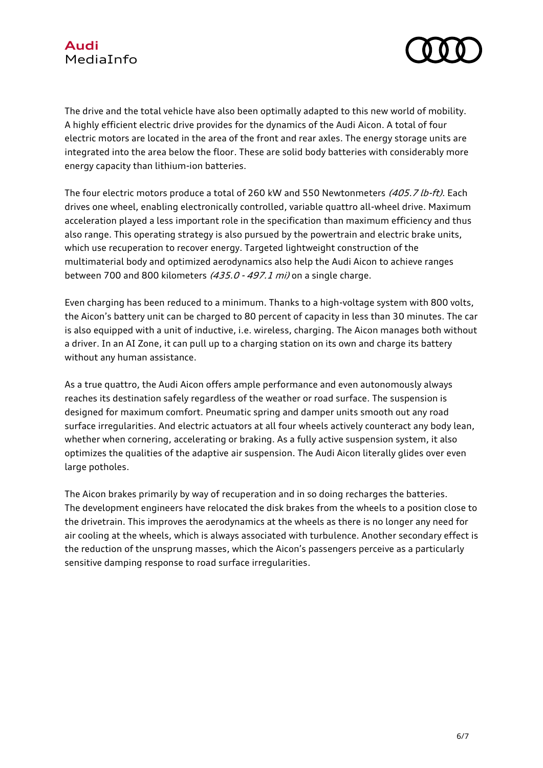

The drive and the total vehicle have also been optimally adapted to this new world of mobility. A highly efficient electric drive provides for the dynamics of the Audi Aicon. A total of four electric motors are located in the area of the front and rear axles. The energy storage units are integrated into the area below the floor. These are solid body batteries with considerably more energy capacity than lithium-ion batteries.

The four electric motors produce a total of 260 kW and 550 Newtonmeters (405.7 lb-ft). Each drives one wheel, enabling electronically controlled, variable quattro all-wheel drive. Maximum acceleration played a less important role in the specification than maximum efficiency and thus also range. This operating strategy is also pursued by the powertrain and electric brake units, which use recuperation to recover energy. Targeted lightweight construction of the multimaterial body and optimized aerodynamics also help the Audi Aicon to achieve ranges between 700 and 800 kilometers  $(435.0 - 497.1 \text{ mi})$  on a single charge.

Even charging has been reduced to a minimum. Thanks to a high-voltage system with 800 volts, the Aicon's battery unit can be charged to 80 percent of capacity in less than 30 minutes. The car is also equipped with a unit of inductive, i.e. wireless, charging. The Aicon manages both without a driver. In an AI Zone, it can pull up to a charging station on its own and charge its battery without any human assistance.

As a true quattro, the Audi Aicon offers ample performance and even autonomously always reaches its destination safely regardless of the weather or road surface. The suspension is designed for maximum comfort. Pneumatic spring and damper units smooth out any road surface irregularities. And electric actuators at all four wheels actively counteract any body lean, whether when cornering, accelerating or braking. As a fully active suspension system, it also optimizes the qualities of the adaptive air suspension. The Audi Aicon literally glides over even large potholes.

The Aicon brakes primarily by way of recuperation and in so doing recharges the batteries. The development engineers have relocated the disk brakes from the wheels to a position close to the drivetrain. This improves the aerodynamics at the wheels as there is no longer any need for air cooling at the wheels, which is always associated with turbulence. Another secondary effect is the reduction of the unsprung masses, which the Aicon's passengers perceive as a particularly sensitive damping response to road surface irregularities.